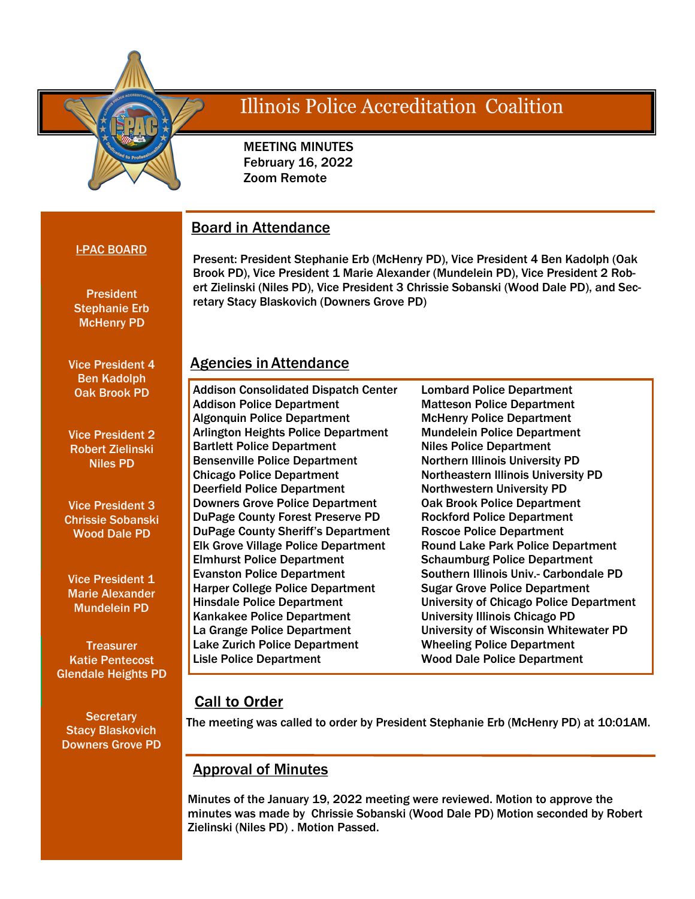

# Illinois Police Accreditation Coalition

 MEETING MINUTES February 16, 2022 Zoom Remote

## Board in Attendance

#### I-PAC BOARD

**President** 

Present: President Stephanie Erb (McHenry PD), Vice President 4 Ben Kadolph (Oak Brook PD), Vice President 1 Marie Alexander (Mundelein PD), Vice President 2 Robert Zielinski (Niles PD), Vice President 3 Chrissie Sobanski (Wood Dale PD), and Secretary Stacy Blaskovich (Downers Grove PD)

## Stephanie Erb McHenry PD

Vice President 4 Ben Kadolph Oak Brook PD

Vice President 2 Robert Zielinski Niles PD

Vice President 3 Chrissie Sobanski Wood Dale PD

Vice President 1 Marie Alexander Mundelein PD

**Treasurer** Katie Pentecost Glendale Heights PD

**Secretary** Stacy Blaskovich Downers Grove PD

### Agencies in Attendance

Addison Consolidated Dispatch Center Addison Police Department Algonquin Police Department Arlington Heights Police Department Bartlett Police Department Bensenville Police Department Chicago Police Department Deerfield Police Department Downers Grove Police Department DuPage County Forest Preserve PD DuPage County Sheriff's Department Elk Grove Village Police Department Elmhurst Police Department Evanston Police Department Harper College Police Department Hinsdale Police Department Kankakee Police Department La Grange Police Department Lake Zurich Police Department Lisle Police Department

Lombard Police Department Matteson Police Department McHenry Police Department Mundelein Police Department Niles Police Department Northern Illinois University PD Northeastern Illinois University PD Northwestern University PD Oak Brook Police Department Rockford Police Department Roscoe Police Department Round Lake Park Police Department Schaumburg Police Department Southern Illinois Univ.- Carbondale PD Sugar Grove Police Department University of Chicago Police Department University Illinois Chicago PD University of Wisconsin Whitewater PD Wheeling Police Department Wood Dale Police Department

### **Call to Order**

The meeting was called to order by President Stephanie Erb (McHenry PD) at 10:01AM.

### Approval of Minutes

Minutes of the January 19, 2022 meeting were reviewed. Motion to approve the minutes was made by Chrissie Sobanski (Wood Dale PD) Motion seconded by Robert Zielinski (Niles PD) . Motion Passed.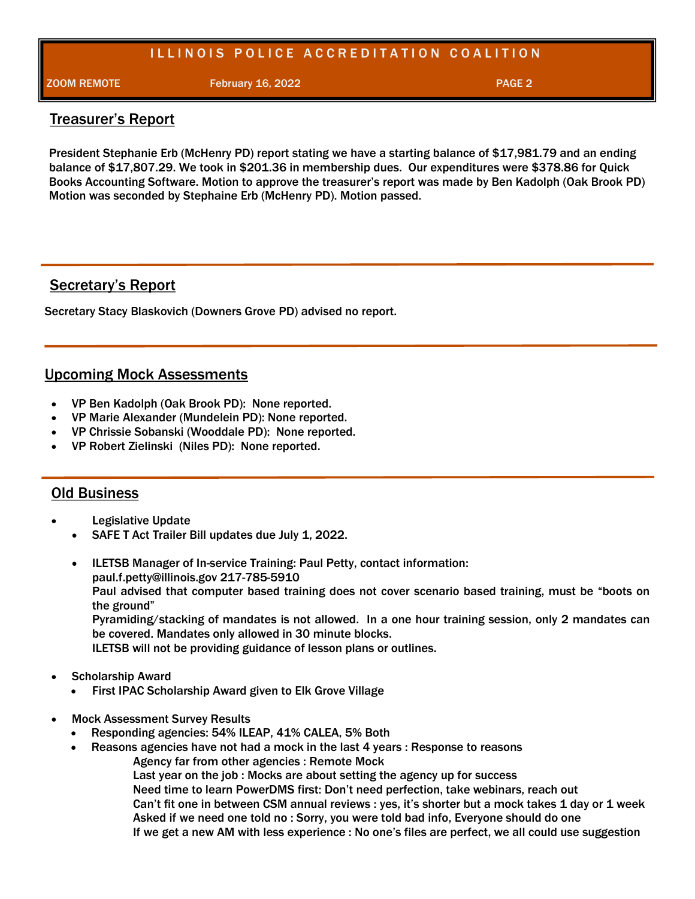### ILLINOIS POLICE ACCREDITATION COALITION

**ZOOM REMOTE February 16, 2022 PAGE 2** 

#### Treasurer's Report

President Stephanie Erb (McHenry PD) report stating we have a starting balance of \$17,981.79 and an ending balance of \$17,807.29. We took in \$201.36 in membership dues. Our expenditures were \$378.86 for Quick Books Accounting Software. Motion to approve the treasurer's report was made by Ben Kadolph (Oak Brook PD) Motion was seconded by Stephaine Erb (McHenry PD). Motion passed.

### Secretary's Report

Secretary Stacy Blaskovich (Downers Grove PD) advised no report.

### Upcoming Mock Assessments

- VP Ben Kadolph (Oak Brook PD): None reported.
- VP Marie Alexander (Mundelein PD): None reported.
- VP Chrissie Sobanski (Wooddale PD): None reported.
- VP Robert Zielinski (Niles PD): None reported.

#### Old Business

- Legislative Update
	- SAFE T Act Trailer Bill updates due July 1, 2022.
	- ILETSB Manager of In-service Training: Paul Petty, contact information: paul.f.petty@illinois.gov 217-785-5910 Paul advised that computer based training does not cover scenario based training, must be "boots on the ground" Pyramiding/stacking of mandates is not allowed. In a one hour training session, only 2 mandates can be covered. Mandates only allowed in 30 minute blocks. ILETSB will not be providing guidance of lesson plans or outlines.
- Scholarship Award
	- First IPAC Scholarship Award given to Elk Grove Village
- Mock Assessment Survey Results
	- Responding agencies: 54% ILEAP, 41% CALEA, 5% Both
	- Reasons agencies have not had a mock in the last 4 years : Response to reasons
		- Agency far from other agencies : Remote Mock

Last year on the job : Mocks are about setting the agency up for success Need time to learn PowerDMS first: Don't need perfection, take webinars, reach out Can't fit one in between CSM annual reviews : yes, it's shorter but a mock takes 1 day or 1 week Asked if we need one told no : Sorry, you were told bad info, Everyone should do one If we get a new AM with less experience : No one's files are perfect, we all could use suggestion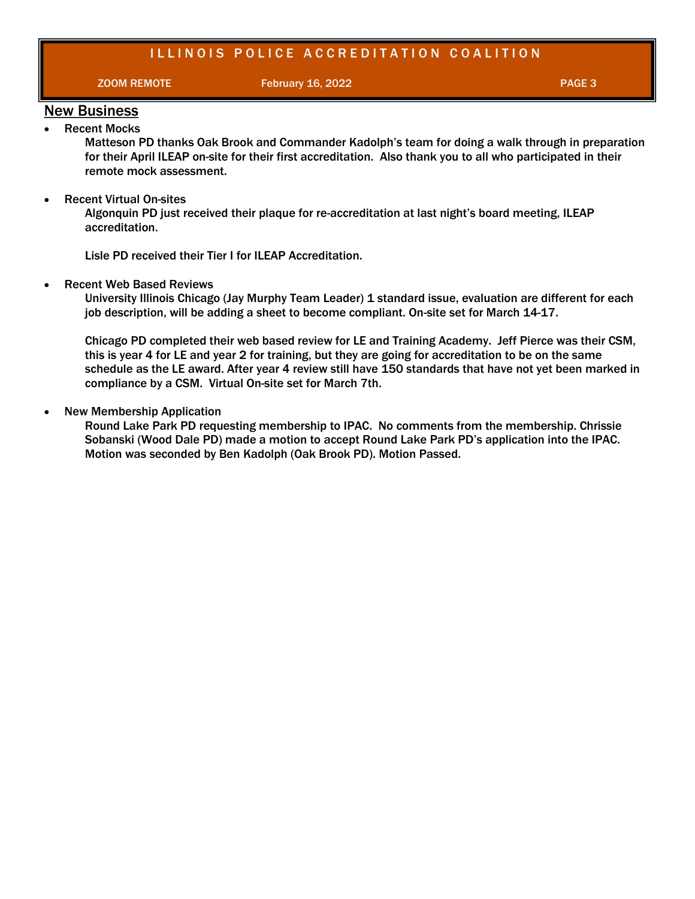#### ILLINOIS POLICE ACCREDITATION COALITION

**ZOOM REMOTE February 16, 2022 PAGE 3** 

#### New Business Recent Mocks

Matteson PD thanks Oak Brook and Commander Kadolph's team for doing a walk through in preparation for their April ILEAP on-site for their first accreditation. Also thank you to all who participated in their remote mock assessment.

Recent Virtual On-sites

Algonquin PD just received their plaque for re-accreditation at last night's board meeting, ILEAP accreditation.

Lisle PD received their Tier I for ILEAP Accreditation.

• Recent Web Based Reviews

University Illinois Chicago (Jay Murphy Team Leader) 1 standard issue, evaluation are different for each job description, will be adding a sheet to become compliant. On-site set for March 14-17.

Chicago PD completed their web based review for LE and Training Academy. Jeff Pierce was their CSM, this is year 4 for LE and year 2 for training, but they are going for accreditation to be on the same schedule as the LE award. After year 4 review still have 150 standards that have not yet been marked in compliance by a CSM. Virtual On-site set for March 7th.

#### New Membership Application

Round Lake Park PD requesting membership to IPAC. No comments from the membership. Chrissie Sobanski (Wood Dale PD) made a motion to accept Round Lake Park PD's application into the IPAC. Motion was seconded by Ben Kadolph (Oak Brook PD). Motion Passed.